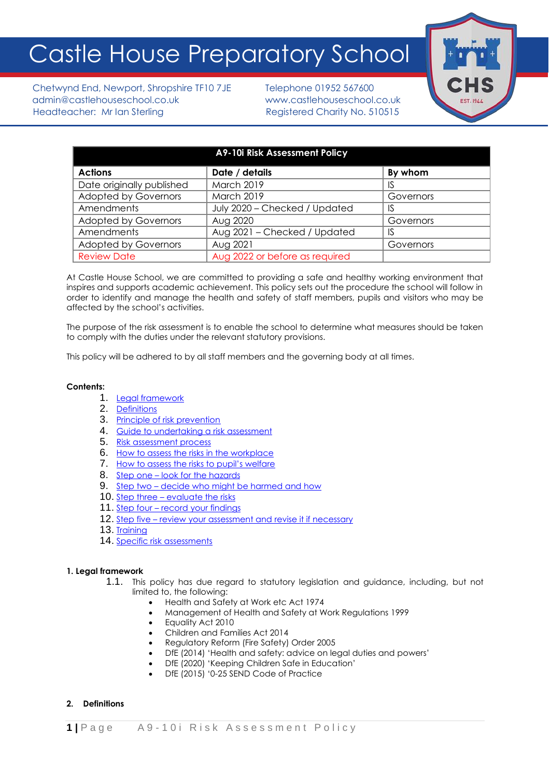# Castle House Preparatory School

Chetwynd End, Newport, Shropshire TF10 7JE Telephone 01952 567600 admin@castlehouseschool.co.uk www.castlehouseschool.co.uk Headteacher: Mr Ian Sterling Theory Registered Charity No. 510515



| A9-10i Risk Assessment Policy |                                |           |
|-------------------------------|--------------------------------|-----------|
| <b>Actions</b>                | Date / details                 | By whom   |
| Date originally published     | <b>March 2019</b>              | IS        |
| <b>Adopted by Governors</b>   | March 2019                     | Governors |
| Amendments                    | July 2020 - Checked / Updated  |           |
| <b>Adopted by Governors</b>   | Aug 2020                       | Governors |
| Amendments                    | Aug 2021 - Checked / Updated   | IS        |
| <b>Adopted by Governors</b>   | Aug 2021                       | Governors |
| <b>Review Date</b>            | Aug 2022 or before as required |           |

At Castle House School, we are committed to providing a safe and healthy working environment that inspires and supports academic achievement. This policy sets out the procedure the school will follow in order to identify and manage the health and safety of staff members, pupils and visitors who may be affected by the school's activities.

The purpose of the risk assessment is to enable the school to determine what measures should be taken to comply with the duties under the relevant statutory provisions.

This policy will be adhered to by all staff members and the governing body at all times.

## **Contents:**

- 1. [Legal framework](#page-0-0)
- 2. [Definitions](#page-0-1)
- 3. [Principle of risk prevention](#page-1-0)
- 4. [Guide to undertaking a risk assessment](#page-1-1)
- 5. [Risk assessment process](#page-1-2)
- 6. [How to assess the risks in the workplace](#page-1-3)
- 7. [How to assess the risks to pupil's welfare](#page-2-0)
- 8. Step one [look for the hazards](#page-2-1)
- 9. Step two [decide who might be harmed and how](#page-2-2)
- 10. Step three [evaluate the risks](#page-3-0)
- 11. Step four [record your findings](#page-3-1)
- 12. Step five [review your assessment and revise it if necessary](#page-3-2)
- 13. [Training](#page-3-3)
- 14. [Specific risk assessments](#page-4-0)

#### <span id="page-0-0"></span>**1. Legal framework**

- 1.1. This policy has due regard to statutory legislation and guidance, including, but not limited to, the following:
	- Health and Safety at Work etc Act 1974
	- Management of Health and Safety at Work Regulations 1999
	- Equality Act 2010
	- Children and Families Act 2014
	- Regulatory Reform (Fire Safety) Order 2005
	- DfE (2014) 'Health and safety: advice on legal duties and powers'
	- DfE (2020) 'Keeping Children Safe in Education'
	- DfE (2015) '0-25 SEND Code of Practice

## <span id="page-0-1"></span>**2. Definitions**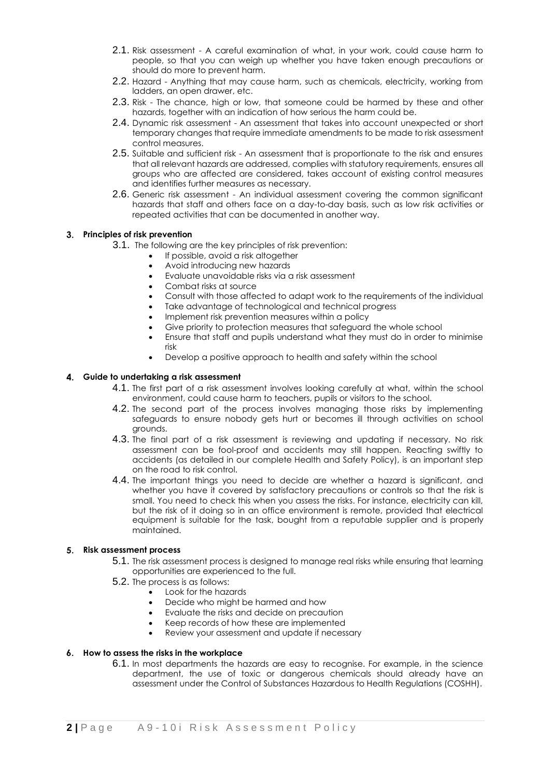- 2.1. Risk assessment A careful examination of what, in your work, could cause harm to people, so that you can weigh up whether you have taken enough precautions or should do more to prevent harm.
- 2.2. Hazard Anything that may cause harm, such as chemicals, electricity, working from ladders, an open drawer, etc.
- 2.3. Risk The chance, high or low, that someone could be harmed by these and other hazards, together with an indication of how serious the harm could be.
- 2.4. Dynamic risk assessment An assessment that takes into account unexpected or short temporary changes that require immediate amendments to be made to risk assessment control measures.
- 2.5. Suitable and sufficient risk An assessment that is proportionate to the risk and ensures that all relevant hazards are addressed, complies with statutory requirements, ensures all groups who are affected are considered, takes account of existing control measures and identifies further measures as necessary.
- 2.6. Generic risk assessment An individual assessment covering the common significant hazards that staff and others face on a day-to-day basis, such as low risk activities or repeated activities that can be documented in another way.

#### <span id="page-1-0"></span>**Principles of risk prevention**

- 3.1. The following are the key principles of risk prevention:
	- If possible, avoid a risk altogether
	- Avoid introducing new hazards
	- Evaluate unavoidable risks via a risk assessment
	- Combat risks at source
	- Consult with those affected to adapt work to the requirements of the individual
	- Take advantage of technological and technical progress
	- Implement risk prevention measures within a policy
	- Give priority to protection measures that safeguard the whole school
	- Ensure that staff and pupils understand what they must do in order to minimise risk
	- Develop a positive approach to health and safety within the school

#### <span id="page-1-1"></span>**Guide to undertaking a risk assessment**

- 4.1. The first part of a risk assessment involves looking carefully at what, within the school environment, could cause harm to teachers, pupils or visitors to the school.
- 4.2. The second part of the process involves managing those risks by implementing safeguards to ensure nobody gets hurt or becomes ill through activities on school grounds.
- 4.3. The final part of a risk assessment is reviewing and updating if necessary. No risk assessment can be fool-proof and accidents may still happen. Reacting swiftly to accidents (as detailed in our complete Health and Safety Policy), is an important step on the road to risk control.
- 4.4. The important things you need to decide are whether a hazard is significant, and whether you have it covered by satisfactory precautions or controls so that the risk is small. You need to check this when you assess the risks. For instance, electricity can kill, but the risk of it doing so in an office environment is remote, provided that electrical equipment is suitable for the task, bought from a reputable supplier and is properly maintained.

#### <span id="page-1-2"></span>**Risk assessment process**

- 5.1. The risk assessment process is designed to manage real risks while ensuring that learning opportunities are experienced to the full.
- 5.2. The process is as follows:
	- Look for the hazards
	- Decide who might be harmed and how
	- Evaluate the risks and decide on precaution
	- Keep records of how these are implemented
	- Review your assessment and update if necessary

## <span id="page-1-3"></span>**How to assess the risks in the workplace**

6.1. In most departments the hazards are easy to recognise. For example, in the science department, the use of toxic or dangerous chemicals should already have an assessment under the Control of Substances Hazardous to Health Regulations (COSHH).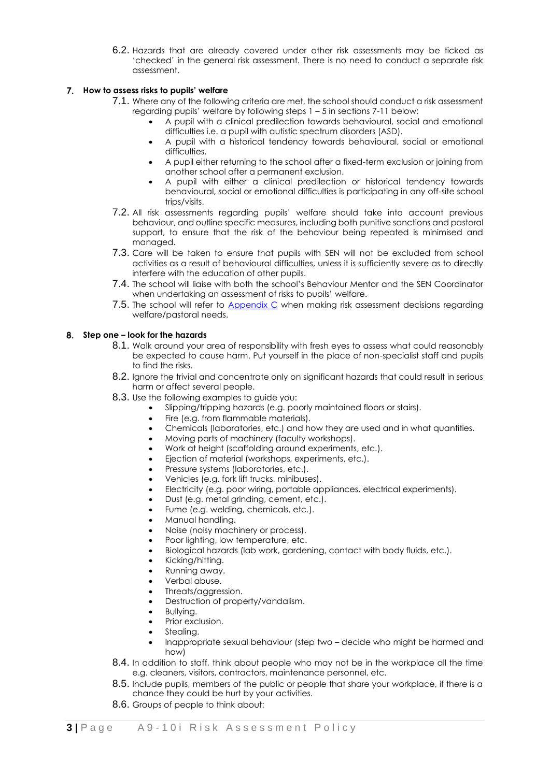6.2. Hazards that are already covered under other risk assessments may be ticked as 'checked' in the general risk assessment. There is no need to conduct a separate risk assessment.

## <span id="page-2-0"></span>**How to assess risks to pupils' welfare**

- 7.1. Where any of the following criteria are met, the school should conduct a risk assessment regarding pupils' welfare by following steps 1 – 5 in sections 7-11 below:
	- A pupil with a clinical predilection towards behavioural, social and emotional difficulties i.e. a pupil with autistic spectrum disorders (ASD).
	- A pupil with a historical tendency towards behavioural, social or emotional difficulties.
	- A pupil either returning to the school after a fixed-term exclusion or joining from another school after a permanent exclusion.
	- A pupil with either a clinical predilection or historical tendency towards behavioural, social or emotional difficulties is participating in any off-site school trips/visits.
- 7.2. All risk assessments regarding pupils' welfare should take into account previous behaviour, and outline specific measures, including both punitive sanctions and pastoral support, to ensure that the risk of the behaviour being repeated is minimised and managed.
- 7.3. Care will be taken to ensure that pupils with SEN will not be excluded from school activities as a result of behavioural difficulties, unless it is sufficiently severe as to directly interfere with the education of other pupils.
- 7.4. The school will liaise with both the school's Behaviour Mentor and the SEN Coordinator when undertaking an assessment of risks to pupils' welfare.
- 7.5. The school will refer to Appendix C when making risk assessment decisions regarding welfare/pastoral needs.

## <span id="page-2-1"></span>**Step one – look for the hazards**

- 8.1. Walk around your area of responsibility with fresh eyes to assess what could reasonably be expected to cause harm. Put yourself in the place of non-specialist staff and pupils to find the risks.
- 8.2. Ignore the trivial and concentrate only on significant hazards that could result in serious harm or affect several people.
- 8.3. Use the following examples to guide you:
	- Slipping/tripping hazards (e.g. poorly maintained floors or stairs).
	- Fire (e.g. from flammable materials).
	- Chemicals (laboratories, etc.) and how they are used and in what quantities.
	- Moving parts of machinery (faculty workshops).
	- Work at height (scaffolding around experiments, etc.).
	- Ejection of material (workshops, experiments, etc.).
	- Pressure systems (laboratories, etc.).
	- Vehicles (e.g. fork lift trucks, minibuses).
	- Electricity (e.g. poor wiring, portable appliances, electrical experiments).
	- Dust (e.g. metal grinding, cement, etc.).
	- Fume (e.g. welding, chemicals, etc.).
	- Manual handling.
	- Noise (noisy machinery or process).
	- Poor lighting, low temperature, etc.
	- Biological hazards (lab work, gardening, contact with body fluids, etc.).
	- Kicking/hitting.
	- Running away.
	- Verbal abuse.
	- Threats/aggression.
	- Destruction of property/vandalism.
	- Bullying.
	- Prior exclusion.
	- Stealing.
	- Inappropriate sexual behaviour (step two decide who might be harmed and how)
- <span id="page-2-2"></span>8.4. In addition to staff, think about people who may not be in the workplace all the time e.g. cleaners, visitors, contractors, maintenance personnel, etc.
- 8.5. Include pupils, members of the public or people that share your workplace, if there is a chance they could be hurt by your activities.
- 8.6. Groups of people to think about: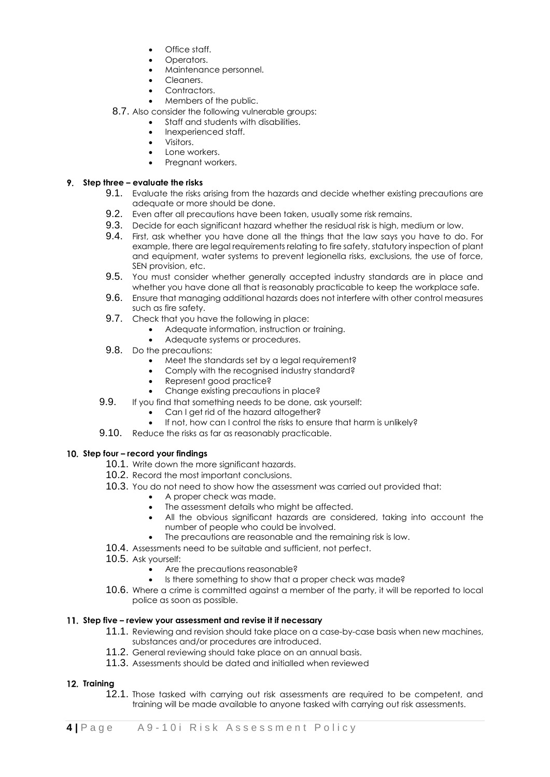- Office staff.
- Operators.
- Maintenance personnel.
- Cleaners.
- Contractors.
- Members of the public.
- 8.7. Also consider the following vulnerable groups:
	- Staff and students with disabilities.
	- Inexperienced staff.
	- Visitors.
	- Lone workers.
	- Pregnant workers.

## <span id="page-3-0"></span>**Step three – evaluate the risks**

- 9.1. Evaluate the risks arising from the hazards and decide whether existing precautions are adequate or more should be done.
- 9.2. Even after all precautions have been taken, usually some risk remains.
- 9.3. Decide for each significant hazard whether the residual risk is high, medium or low.
- 9.4. First, ask whether you have done all the things that the law says you have to do. For example, there are legal requirements relating to fire safety, statutory inspection of plant and equipment, water systems to prevent legionella risks, exclusions, the use of force, SEN provision, etc.
- 9.5. You must consider whether generally accepted industry standards are in place and whether you have done all that is reasonably practicable to keep the workplace safe.
- 9.6. Ensure that managing additional hazards does not interfere with other control measures such as fire safety.
- 9.7. Check that you have the following in place:
	- Adequate information, instruction or training.
	- Adequate systems or procedures.
- 9.8. Do the precautions:
	- Meet the standards set by a legal requirement?
	- Comply with the recognised industry standard?
	- Represent good practice?
	- Change existing precautions in place?
- 9.9. If you find that something needs to be done, ask yourself:
	- Can I get rid of the hazard altogether?
	- If not, how can I control the risks to ensure that harm is unlikely?
- 9.10. Reduce the risks as far as reasonably practicable.

# <span id="page-3-1"></span>**Step four – record your findings**

- 10.1. Write down the more significant hazards.
- 10.2. Record the most important conclusions.
- 10.3. You do not need to show how the assessment was carried out provided that:
	- A proper check was made.
	- The assessment details who might be affected.
	- All the obvious significant hazards are considered, taking into account the number of people who could be involved.
	- The precautions are reasonable and the remaining risk is low.
- 10.4. Assessments need to be suitable and sufficient, not perfect.
- 10.5. Ask yourself:
	- Are the precautions reasonable?
	- Is there something to show that a proper check was made?
- 10.6. Where a crime is committed against a member of the party, it will be reported to local police as soon as possible.

# <span id="page-3-2"></span>**Step five – review your assessment and revise it if necessary**

- 11.1. Reviewing and revision should take place on a case-by-case basis when new machines, substances and/or procedures are introduced.
- 11.2. General reviewing should take place on an annual basis.
- 11.3. Assessments should be dated and initialled when reviewed

# <span id="page-3-3"></span>**Training**

12.1. Those tasked with carrying out risk assessments are required to be competent, and training will be made available to anyone tasked with carrying out risk assessments.